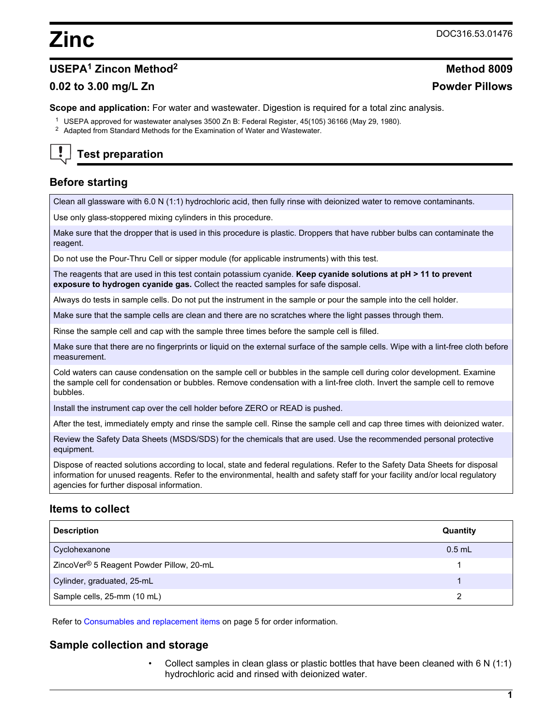# **Zinc** DOC316.53.01476

# **USEPA<sup>1</sup> Zincon Method<sup>2</sup> Method 8009**

# **0.02 to 3.00 mg/L Zn Powder Pillows**

**Scope and application:** For water and wastewater. Digestion is required for a total zinc analysis.

- <sup>1</sup> USEPA approved for wastewater analyses 3500 Zn B: Federal Register, 45(105) 36166 (May 29, 1980).
- <sup>2</sup> Adapted from Standard Methods for the Examination of Water and Wastewater.

# **Test preparation**

# **Before starting**

Clean all glassware with 6.0 N (1:1) hydrochloric acid, then fully rinse with deionized water to remove contaminants.

Use only glass-stoppered mixing cylinders in this procedure.

Make sure that the dropper that is used in this procedure is plastic. Droppers that have rubber bulbs can contaminate the reagent.

Do not use the Pour-Thru Cell or sipper module (for applicable instruments) with this test.

The reagents that are used in this test contain potassium cyanide. **Keep cyanide solutions at pH > 11 to prevent exposure to hydrogen cyanide gas.** Collect the reacted samples for safe disposal.

Always do tests in sample cells. Do not put the instrument in the sample or pour the sample into the cell holder.

Make sure that the sample cells are clean and there are no scratches where the light passes through them.

Rinse the sample cell and cap with the sample three times before the sample cell is filled.

Make sure that there are no fingerprints or liquid on the external surface of the sample cells. Wipe with a lint-free cloth before measurement.

Cold waters can cause condensation on the sample cell or bubbles in the sample cell during color development. Examine the sample cell for condensation or bubbles. Remove condensation with a lint-free cloth. Invert the sample cell to remove bubbles.

Install the instrument cap over the cell holder before ZERO or READ is pushed.

After the test, immediately empty and rinse the sample cell. Rinse the sample cell and cap three times with deionized water.

Review the Safety Data Sheets (MSDS/SDS) for the chemicals that are used. Use the recommended personal protective equipment.

Dispose of reacted solutions according to local, state and federal regulations. Refer to the Safety Data Sheets for disposal information for unused reagents. Refer to the environmental, health and safety staff for your facility and/or local regulatory agencies for further disposal information.

# **Items to collect**

| <b>Description</b>                                   | <b>Quantity</b> |
|------------------------------------------------------|-----------------|
| Cyclohexanone                                        | $0.5$ mL        |
| ZincoVer <sup>®</sup> 5 Reagent Powder Pillow, 20-mL |                 |
| Cylinder, graduated, 25-mL                           |                 |
| Sample cells, 25-mm (10 mL)                          |                 |

Refer to [Consumables and replacement items o](#page-4-0)n page 5 for order information.

## **Sample collection and storage**

• Collect samples in clean glass or plastic bottles that have been cleaned with 6 N (1:1) hydrochloric acid and rinsed with deionized water.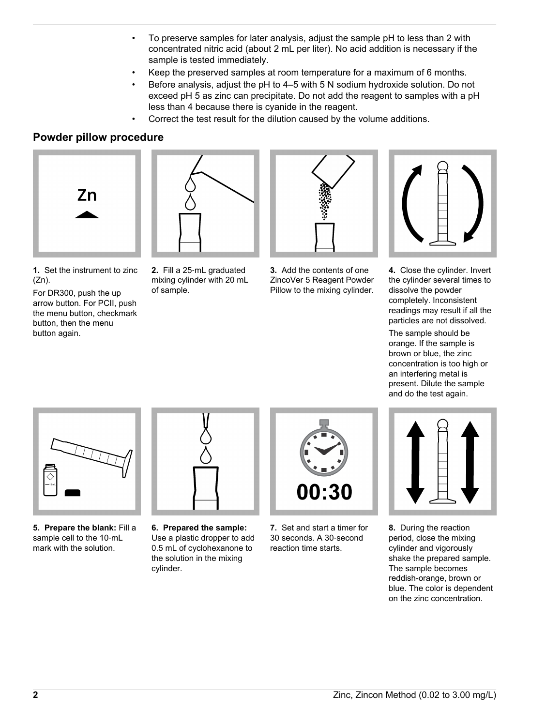- To preserve samples for later analysis, adjust the sample pH to less than 2 with concentrated nitric acid (about 2 mL per liter). No acid addition is necessary if the sample is tested immediately.
- Keep the preserved samples at room temperature for a maximum of 6 months.
- Before analysis, adjust the pH to 4–5 with 5 N sodium hydroxide solution. Do not exceed pH 5 as zinc can precipitate. Do not add the reagent to samples with a pH less than 4 because there is cyanide in the reagent.
	- Correct the test result for the dilution caused by the volume additions.

# **Powder pillow procedure**





**1.** Set the instrument to zinc  $(Zn)$ .

For DR300, push the up arrow button. For PCII, push the menu button, checkmark button, then the menu button again.

**2.** Fill a 25‑mL graduated mixing cylinder with 20 mL of sample.



**3.** Add the contents of one ZincoVer 5 Reagent Powder Pillow to the mixing cylinder.



**4.** Close the cylinder. Invert the cylinder several times to dissolve the powder completely. Inconsistent readings may result if all the particles are not dissolved.

The sample should be orange. If the sample is brown or blue, the zinc concentration is too high or an interfering metal is present. Dilute the sample and do the test again.



**5. Prepare the blank:** Fill a sample cell to the 10-mL mark with the solution.



**6. Prepared the sample:** Use a plastic dropper to add 0.5 mL of cyclohexanone to the solution in the mixing cylinder.



**7.** Set and start a timer for 30 seconds. A 30‑second reaction time starts.



**8.** During the reaction period, close the mixing cylinder and vigorously shake the prepared sample. The sample becomes reddish-orange, brown or blue. The color is dependent on the zinc concentration.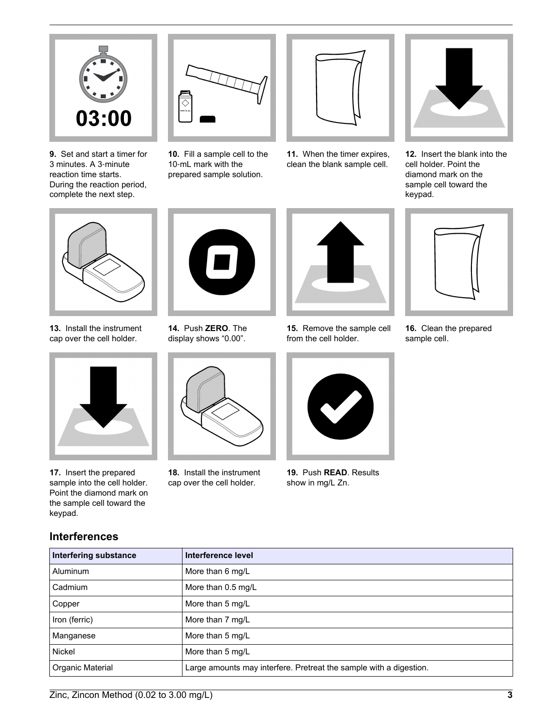

**9.** Set and start a timer for 3 minutes. A 3‑minute reaction time starts. During the reaction period, complete the next step.



**10.** Fill a sample cell to the 10-mL mark with the prepared sample solution.



**11.** When the timer expires, clean the blank sample cell.



**12.** Insert the blank into the cell holder. Point the diamond mark on the sample cell toward the keypad.



**13.** Install the instrument cap over the cell holder.



**17.** Insert the prepared sample into the cell holder. Point the diamond mark on the sample cell toward the keypad.

**Interferences**



**14.** Push **ZERO**. The display shows "0.00".



**18.** Install the instrument cap over the cell holder.



**15.** Remove the sample cell from the cell holder.



**19.** Push **READ**. Results show in mg/L Zn.



**16.** Clean the prepared sample cell.

| <b>Interfering substance</b> | Interference level                                  |
|------------------------------|-----------------------------------------------------|
| Aluminum                     | More than 6 mg/L                                    |
|                              | $\mathbf{a}$ $\mathbf{a}$ $\mathbf{b}$ $\mathbf{a}$ |

| 11101101111900000010100 | <u></u>                                                            |
|-------------------------|--------------------------------------------------------------------|
| <b>Aluminum</b>         | More than 6 mg/L                                                   |
| Cadmium                 | More than 0.5 mg/L                                                 |
| Copper                  | More than 5 mg/L                                                   |
| Iron (ferric)           | More than 7 mg/L                                                   |
| Manganese               | More than 5 mg/L                                                   |
| <b>Nickel</b>           | More than 5 mg/L                                                   |
| Organic Material        | Large amounts may interfere. Pretreat the sample with a digestion. |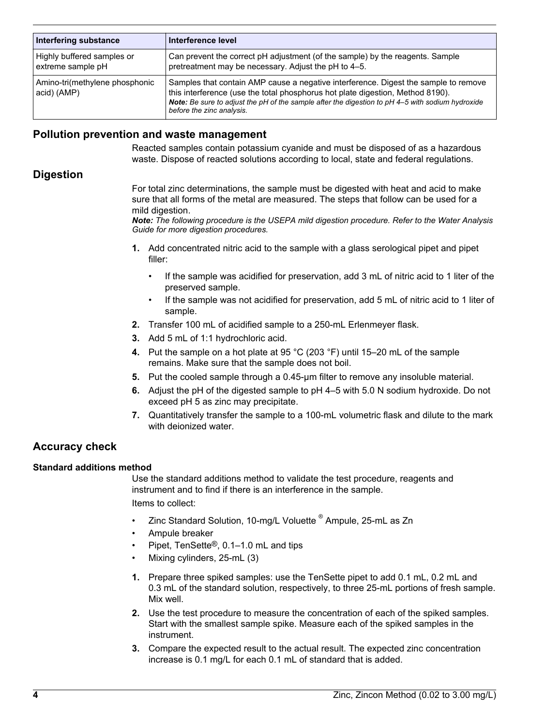| Interfering substance                           | Interference level                                                                                                                                                                                                                                                                                     |
|-------------------------------------------------|--------------------------------------------------------------------------------------------------------------------------------------------------------------------------------------------------------------------------------------------------------------------------------------------------------|
| Highly buffered samples or<br>extreme sample pH | Can prevent the correct pH adjustment (of the sample) by the reagents. Sample<br>pretreatment may be necessary. Adjust the pH to 4–5.                                                                                                                                                                  |
| Amino-tri(methylene phosphonic<br>acid) (AMP)   | Samples that contain AMP cause a negative interference. Digest the sample to remove<br>this interference (use the total phosphorus hot plate digestion, Method 8190).<br>Note: Be sure to adjust the pH of the sample after the digestion to pH 4-5 with sodium hydroxide<br>before the zinc analysis. |

# **Pollution prevention and waste management**

Reacted samples contain potassium cyanide and must be disposed of as a hazardous waste. Dispose of reacted solutions according to local, state and federal regulations.

# **Digestion**

For total zinc determinations, the sample must be digested with heat and acid to make sure that all forms of the metal are measured. The steps that follow can be used for a mild digestion.

*Note: The following procedure is the USEPA mild digestion procedure. Refer to the Water Analysis Guide for more digestion procedures.*

- **1.** Add concentrated nitric acid to the sample with a glass serological pipet and pipet filler:
	- If the sample was acidified for preservation, add 3 mL of nitric acid to 1 liter of the preserved sample.
	- If the sample was not acidified for preservation, add 5 mL of nitric acid to 1 liter of sample.
- **2.** Transfer 100 mL of acidified sample to a 250-mL Erlenmeyer flask.
- **3.** Add 5 mL of 1:1 hydrochloric acid.
- **4.** Put the sample on a hot plate at 95 °C (203 °F) until 15–20 mL of the sample remains. Make sure that the sample does not boil.
- **5.** Put the cooled sample through a 0.45-µm filter to remove any insoluble material.
- **6.** Adjust the pH of the digested sample to pH 4–5 with 5.0 N sodium hydroxide. Do not exceed pH 5 as zinc may precipitate.
- **7.** Quantitatively transfer the sample to a 100-mL volumetric flask and dilute to the mark with deionized water.

# **Accuracy check**

#### **Standard additions method**

Use the standard additions method to validate the test procedure, reagents and instrument and to find if there is an interference in the sample. Items to collect:

- Zinc Standard Solution, 10-mg/L Voluette <sup>®</sup> Ampule, 25-mL as Zn
- Ampule breaker
- Pipet, TenSette®, 0.1–1.0 mL and tips
- Mixing cylinders, 25-mL (3)
- **1.** Prepare three spiked samples: use the TenSette pipet to add 0.1 mL, 0.2 mL and 0.3 mL of the standard solution, respectively, to three 25-mL portions of fresh sample. Mix well.
- **2.** Use the test procedure to measure the concentration of each of the spiked samples. Start with the smallest sample spike. Measure each of the spiked samples in the instrument.
- **3.** Compare the expected result to the actual result. The expected zinc concentration increase is 0.1 mg/L for each 0.1 mL of standard that is added.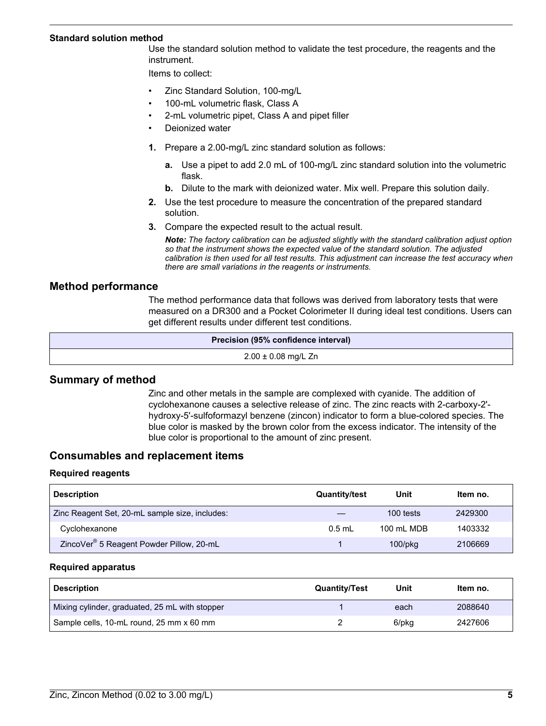#### <span id="page-4-0"></span>**Standard solution method**

Use the standard solution method to validate the test procedure, the reagents and the instrument.

Items to collect:

- Zinc Standard Solution, 100-mg/L
- 100-mL volumetric flask, Class A
- 2-mL volumetric pipet, Class A and pipet filler
- Deionized water
- **1.** Prepare a 2.00-mg/L zinc standard solution as follows:
	- **a.** Use a pipet to add 2.0 mL of 100-mg/L zinc standard solution into the volumetric flask.
	- **b.** Dilute to the mark with deionized water. Mix well. Prepare this solution daily.
- **2.** Use the test procedure to measure the concentration of the prepared standard solution.
- **3.** Compare the expected result to the actual result.

*Note: The factory calibration can be adjusted slightly with the standard calibration adjust option so that the instrument shows the expected value of the standard solution. The adjusted calibration is then used for all test results. This adjustment can increase the test accuracy when there are small variations in the reagents or instruments.*

## **Method performance**

The method performance data that follows was derived from laboratory tests that were measured on a DR300 and a Pocket Colorimeter II during ideal test conditions. Users can get different results under different test conditions.

| Precision (95% confidence interval) |
|-------------------------------------|
| $2.00 \pm 0.08$ mg/L Zn             |

## **Summary of method**

Zinc and other metals in the sample are complexed with cyanide. The addition of cyclohexanone causes a selective release of zinc. The zinc reacts with 2-carboxy-2' hydroxy-5'-sulfoformazyl benzene (zincon) indicator to form a blue-colored species. The blue color is masked by the brown color from the excess indicator. The intensity of the blue color is proportional to the amount of zinc present.

## **Consumables and replacement items**

#### **Required reagents**

| <b>Description</b>                                   | <b>Quantity/test</b> | Unit          | Item no. |
|------------------------------------------------------|----------------------|---------------|----------|
| Zinc Reagent Set, 20-mL sample size, includes:       |                      | 100 tests     | 2429300  |
| Cyclohexanone                                        | $0.5$ ml             | 100 mL MDB    | 1403332  |
| ZincoVer <sup>®</sup> 5 Reagent Powder Pillow, 20-mL |                      | $100$ /p $kg$ | 2106669  |

#### **Required apparatus**

| <b>Description</b>                             | <b>Quantity/Test</b> | Unit  | Item no. |
|------------------------------------------------|----------------------|-------|----------|
| Mixing cylinder, graduated, 25 mL with stopper |                      | each  | 2088640  |
| Sample cells, 10-mL round, 25 mm x 60 mm       |                      | 6/pkg | 2427606  |